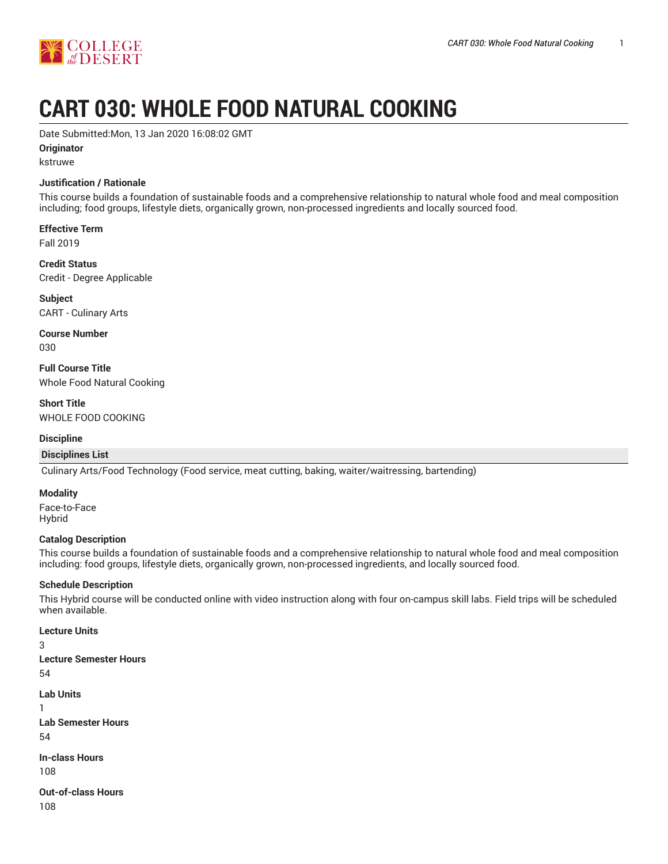

# **CART 030: WHOLE FOOD NATURAL COOKING**

Date Submitted:Mon, 13 Jan 2020 16:08:02 GMT

**Originator**

kstruwe

## **Justification / Rationale**

This course builds a foundation of sustainable foods and a comprehensive relationship to natural whole food and meal composition including; food groups, lifestyle diets, organically grown, non-processed ingredients and locally sourced food.

**Effective Term** Fall 2019

**Credit Status** Credit - Degree Applicable

**Subject** CART - Culinary Arts

**Course Number** 030

**Full Course Title** Whole Food Natural Cooking

**Short Title** WHOLE FOOD COOKING

#### **Discipline**

#### **Disciplines List**

Culinary Arts/Food Technology (Food service, meat cutting, baking, waiter/waitressing, bartending)

#### **Modality**

Face-to-Face Hybrid

#### **Catalog Description**

This course builds a foundation of sustainable foods and a comprehensive relationship to natural whole food and meal composition including: food groups, lifestyle diets, organically grown, non-processed ingredients, and locally sourced food.

#### **Schedule Description**

This Hybrid course will be conducted online with video instruction along with four on-campus skill labs. Field trips will be scheduled when available.

#### **Lecture Units**

3

- **Lecture Semester Hours** 54
- **Lab Units**
- 1

**Lab Semester Hours** 54

**In-class Hours** 108

**Out-of-class Hours** 108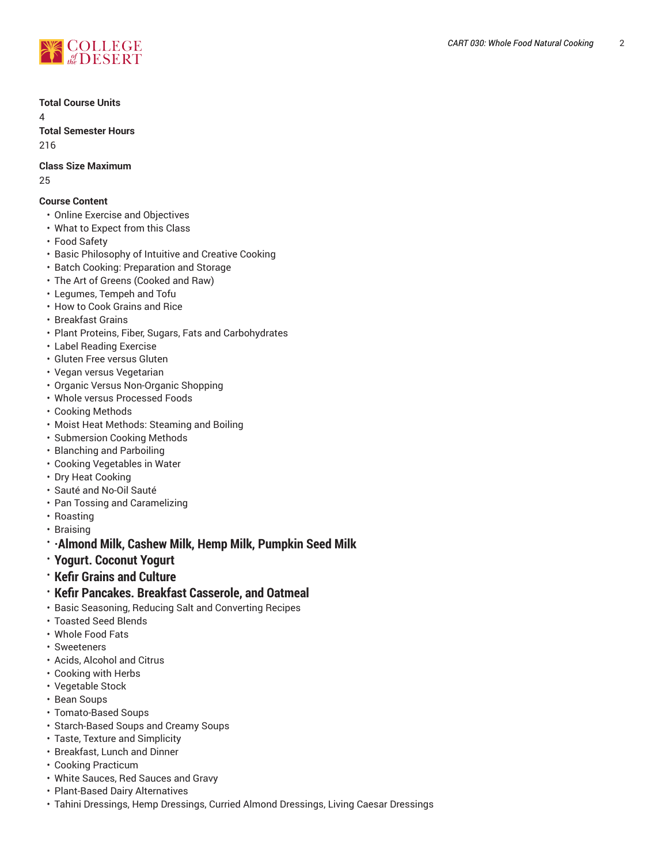

**Total Course Units**

 $\Delta$ 

**Total Semester Hours** 216

**Class Size Maximum** 25

# **Course Content**

- Online Exercise and Objectives
- What to Expect from this Class
- Food Safety
- Basic Philosophy of Intuitive and Creative Cooking
- Batch Cooking: Preparation and Storage
- The Art of Greens (Cooked and Raw)
- Legumes, Tempeh and Tofu
- How to Cook Grains and Rice
- Breakfast Grains
- Plant Proteins, Fiber, Sugars, Fats and Carbohydrates
- Label Reading Exercise
- Gluten Free versus Gluten
- Vegan versus Vegetarian
- Organic Versus Non-Organic Shopping
- Whole versus Processed Foods
- Cooking Methods
- Moist Heat Methods: Steaming and Boiling
- Submersion Cooking Methods
- Blanching and Parboiling
- Cooking Vegetables in Water
- Dry Heat Cooking
- Sauté and No-Oil Sauté
- Pan Tossing and Caramelizing
- Roasting
- Braising
- **·Almond Milk, Cashew Milk, Hemp Milk, Pumpkin Seed Milk**
- **Yogurt. Coconut Yogurt**
- **Kefir Grains and Culture**
- **Kefir Pancakes. Breakfast Casserole, and Oatmeal**
- Basic Seasoning, Reducing Salt and Converting Recipes
- Toasted Seed Blends
- Whole Food Fats
- Sweeteners
- Acids, Alcohol and Citrus
- Cooking with Herbs
- Vegetable Stock
- Bean Soups
- Tomato-Based Soups
- Starch-Based Soups and Creamy Soups
- Taste, Texture and Simplicity
- Breakfast, Lunch and Dinner
- Cooking Practicum
- White Sauces, Red Sauces and Gravy
- Plant-Based Dairy Alternatives
- Tahini Dressings, Hemp Dressings, Curried Almond Dressings, Living Caesar Dressings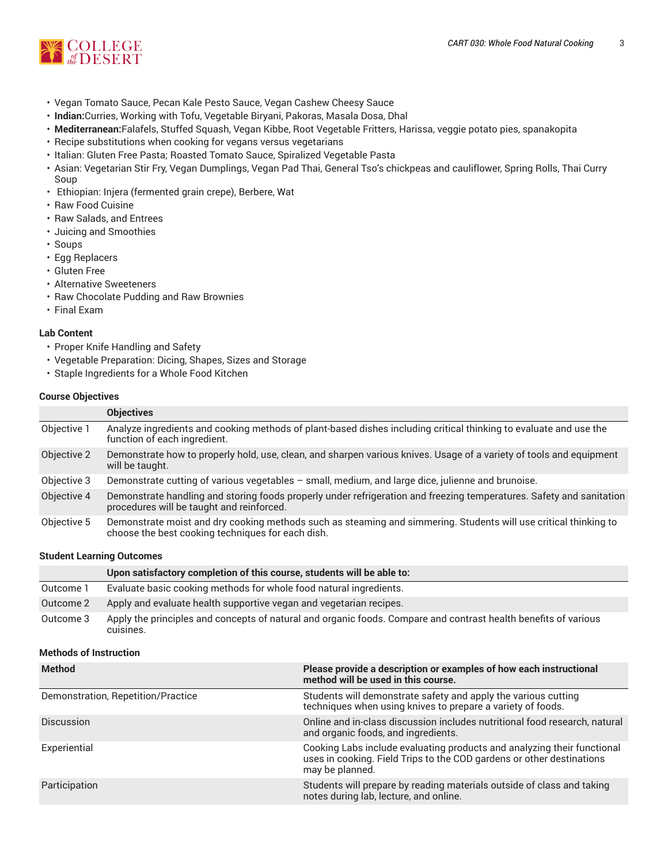

- Vegan Tomato Sauce, Pecan Kale Pesto Sauce, Vegan Cashew Cheesy Sauce
- **Indian:**Curries, Working with Tofu, Vegetable Biryani, Pakoras, Masala Dosa, Dhal
- **Mediterranean:**Falafels, Stuffed Squash, Vegan Kibbe, Root Vegetable Fritters, Harissa, veggie potato pies, spanakopita
- Recipe substitutions when cooking for vegans versus vegetarians
- Italian: Gluten Free Pasta; Roasted Tomato Sauce, Spiralized Vegetable Pasta
- Asian: Vegetarian Stir Fry, Vegan Dumplings, Vegan Pad Thai, General Tso's chickpeas and cauliflower, Spring Rolls, Thai Curry Soup
- Ethiopian: Injera (fermented grain crepe), Berbere, Wat
- Raw Food Cuisine
- Raw Salads, and Entrees
- Juicing and Smoothies
- Soups
- Egg Replacers
- Gluten Free
- Alternative Sweeteners
- Raw Chocolate Pudding and Raw Brownies
- Final Exam

## **Lab Content**

- Proper Knife Handling and Safety
- Vegetable Preparation: Dicing, Shapes, Sizes and Storage
- Staple Ingredients for a Whole Food Kitchen

#### **Course Objectives**

|             | <b>Objectives</b>                                                                                                                                                     |
|-------------|-----------------------------------------------------------------------------------------------------------------------------------------------------------------------|
| Objective 1 | Analyze ingredients and cooking methods of plant-based dishes including critical thinking to evaluate and use the<br>function of each ingredient.                     |
| Objective 2 | Demonstrate how to properly hold, use, clean, and sharpen various knives. Usage of a variety of tools and equipment<br>will be taught.                                |
| Objective 3 | Demonstrate cutting of various vegetables – small, medium, and large dice, julienne and brunoise.                                                                     |
| Objective 4 | Demonstrate handling and storing foods properly under refrigeration and freezing temperatures. Safety and sanitation<br>procedures will be taught and reinforced.     |
| Objective 5 | Demonstrate moist and dry cooking methods such as steaming and simmering. Students will use critical thinking to<br>choose the best cooking techniques for each dish. |

#### **Student Learning Outcomes**

|           | Upon satisfactory completion of this course, students will be able to:                                                       |
|-----------|------------------------------------------------------------------------------------------------------------------------------|
| Outcome 1 | Evaluate basic cooking methods for whole food natural ingredients.                                                           |
| Outcome 2 | Apply and evaluate health supportive vegan and vegetarian recipes.                                                           |
| Outcome 3 | Apply the principles and concepts of natural and organic foods. Compare and contrast health benefits of various<br>cuisines. |

### **Methods of Instruction**

| <b>Method</b>                      | Please provide a description or examples of how each instructional<br>method will be used in this course.                                                           |
|------------------------------------|---------------------------------------------------------------------------------------------------------------------------------------------------------------------|
| Demonstration, Repetition/Practice | Students will demonstrate safety and apply the various cutting<br>techniques when using knives to prepare a variety of foods.                                       |
| <b>Discussion</b>                  | Online and in-class discussion includes nutritional food research, natural<br>and organic foods, and ingredients.                                                   |
| Experiential                       | Cooking Labs include evaluating products and analyzing their functional<br>uses in cooking. Field Trips to the COD gardens or other destinations<br>may be planned. |
| Participation                      | Students will prepare by reading materials outside of class and taking<br>notes during lab, lecture, and online.                                                    |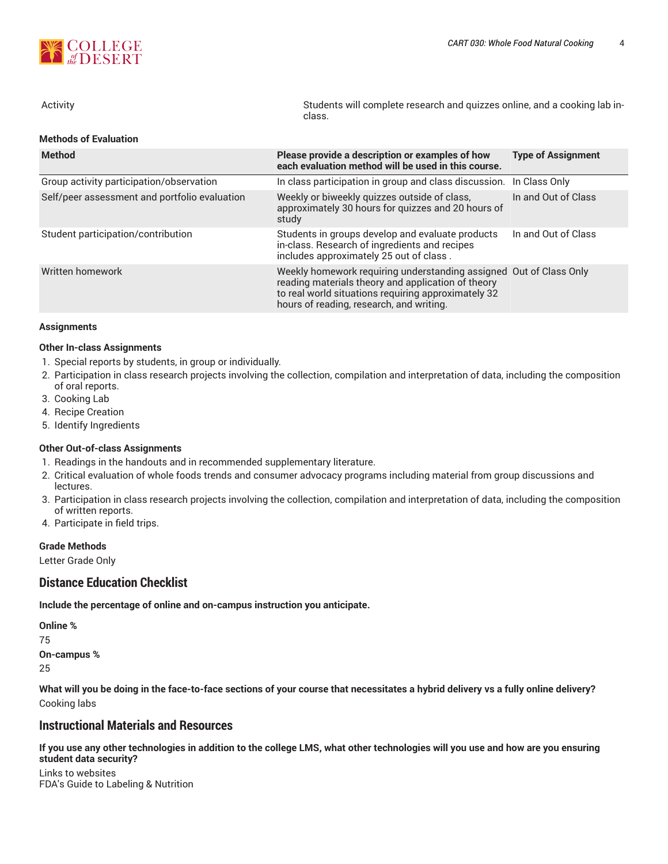

**Methods of Evaluation**

| Activity | Students will complete research and quizzes online, and a cooking lab in-<br>class. |
|----------|-------------------------------------------------------------------------------------|
|          |                                                                                     |

| <b>Method</b>                                 | Please provide a description or examples of how<br>each evaluation method will be used in this course.                                                                                                                      | <b>Type of Assignment</b> |  |  |
|-----------------------------------------------|-----------------------------------------------------------------------------------------------------------------------------------------------------------------------------------------------------------------------------|---------------------------|--|--|
| Group activity participation/observation      | In class participation in group and class discussion. In Class Only                                                                                                                                                         |                           |  |  |
| Self/peer assessment and portfolio evaluation | Weekly or biweekly quizzes outside of class,<br>approximately 30 hours for quizzes and 20 hours of<br>study                                                                                                                 | In and Out of Class       |  |  |
| Student participation/contribution            | Students in groups develop and evaluate products<br>in-class. Research of ingredients and recipes<br>includes approximately 25 out of class.                                                                                | In and Out of Class       |  |  |
| Written homework                              | Weekly homework requiring understanding assigned Out of Class Only<br>reading materials theory and application of theory<br>to real world situations requiring approximately 32<br>hours of reading, research, and writing. |                           |  |  |

#### **Assignments**

#### **Other In-class Assignments**

- 1. Special reports by students, in group or individually.
- 2. Participation in class research projects involving the collection, compilation and interpretation of data, including the composition of oral reports.
- 3. Cooking Lab
- 4. Recipe Creation
- 5. Identify Ingredients

#### **Other Out-of-class Assignments**

- 1. Readings in the handouts and in recommended supplementary literature.
- 2. Critical evaluation of whole foods trends and consumer advocacy programs including material from group discussions and lectures.
- 3. Participation in class research projects involving the collection, compilation and interpretation of data, including the composition of written reports.
- 4. Participate in field trips.

#### **Grade Methods**

Letter Grade Only

# **Distance Education Checklist**

**Include the percentage of online and on-campus instruction you anticipate.**

**Online %** 75 **On-campus %** 25

What will you be doing in the face-to-face sections of your course that necessitates a hybrid delivery vs a fully online delivery? Cooking labs

# **Instructional Materials and Resources**

If you use any other technologies in addition to the college LMS, what other technologies will you use and how are you ensuring **student data security?**

Links to websites FDA's Guide to Labeling & Nutrition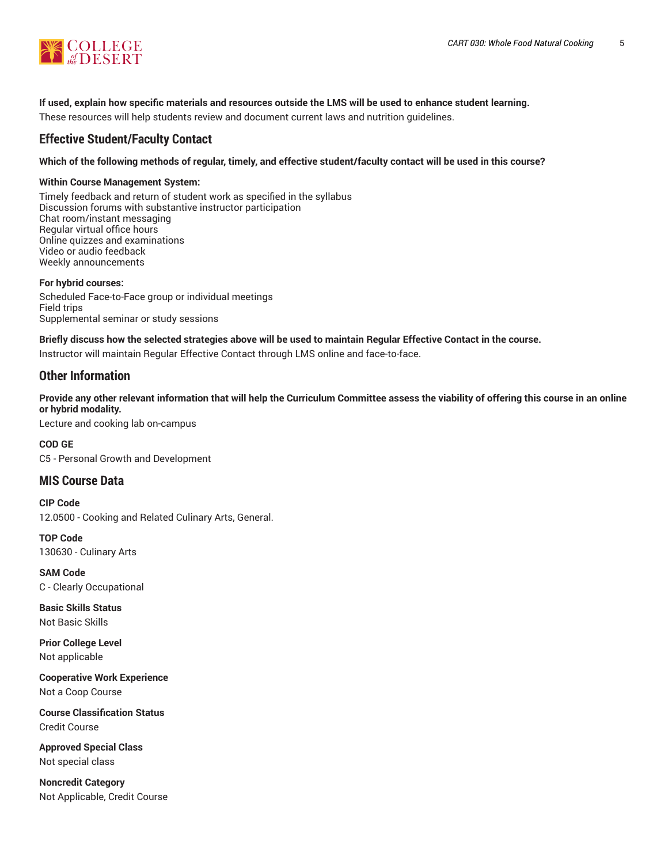

## **If used, explain how specific materials and resources outside the LMS will be used to enhance student learning.**

These resources will help students review and document current laws and nutrition guidelines.

# **Effective Student/Faculty Contact**

Which of the following methods of regular, timely, and effective student/faculty contact will be used in this course?

#### **Within Course Management System:**

Timely feedback and return of student work as specified in the syllabus Discussion forums with substantive instructor participation Chat room/instant messaging Regular virtual office hours Online quizzes and examinations Video or audio feedback Weekly announcements

**For hybrid courses:** Scheduled Face-to-Face group or individual meetings Field trips Supplemental seminar or study sessions

# Briefly discuss how the selected strategies above will be used to maintain Regular Effective Contact in the course.

Instructor will maintain Regular Effective Contact through LMS online and face-to-face.

# **Other Information**

Provide any other relevant information that will help the Curriculum Committee assess the viability of offering this course in an online **or hybrid modality.**

Lecture and cooking lab on-campus

**COD GE** C5 - Personal Growth and Development

# **MIS Course Data**

**CIP Code** 12.0500 - Cooking and Related Culinary Arts, General.

**TOP Code** 130630 - Culinary Arts

**SAM Code** C - Clearly Occupational

**Basic Skills Status** Not Basic Skills

**Prior College Level** Not applicable

**Cooperative Work Experience** Not a Coop Course

**Course Classification Status** Credit Course

**Approved Special Class** Not special class

**Noncredit Category** Not Applicable, Credit Course